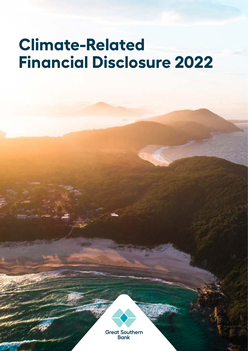# **Climate-Related Financial Disclosure 2022**

**Great Southern Bank**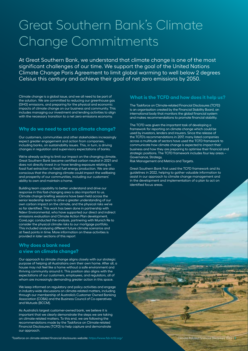### Great Southern Bank's Climate Change Commitments

At Great Southern Bank, we understand that climate change is one of the most significant challenges of our time. We support the goal of the United Nations Climate Change Paris Agreement to limit global warming to well below 2 degrees Celsius this century and achieve their goal of net zero emissions by 2050.

Climate change is a global issue, and we all need to be part of the solution. We are committed to reducing our greenhouse gas (GHG) emissions, and preparing for the physical and economic impacts of climate change on our business and community. This includes managing our investment and lending activities to align with the necessary transition to a net zero emissions economy.

### **Why do we need to act on climate change?**

Our customers, communities and other stakeholders increasingly expect greater engagement and action from companies, including banks, on sustainability issues. This, in turn, is driving changes in regulation and supervisory expectations of banks.

We're already acting to limit our impact on the changing climate. Great Southern Bank became certified carbon neutral in 2021 and does not directly invest in or have lending exposure relating to fossil fuel extraction or fossil fuel energy production. We are also conscious that the changing climate could impact the wellbeing and prosperity of our communities, including our customers' ability to own and maintain a home.

Building team capability to better understand and drive our response in this fast-changing area is also important to us. Climate change briefing sessions have been held across the senior leadership team to drive a greater understanding of our own carbon impact on the climate, and the physical risks we've so far identified. This work has been done in partnership with Ndevr Environmental, who have supported our direct and indirect emissions evaluation and Climate Action Plan development. CoreLogic conducted the analysis, partnering with Munich Re to consider the physical climate risks to our mortgage portfolio. This included analysing different future climate scenarios and at fixed points in time. More information on these activities is provided in later sections of this report

### **Why does a bank need a view on climate change?**

Our approach to climate change aligns closely with our strategic purpose of helping all Australians own their own home. After all, a house may not feel like a home without a safe environment and thriving community around it. This position also aligns with the expectations of our customers, employees, and regulators, all of whom are increasingly demanding greater action in this space.

We keep informed on regulatory and policy activities and engage in industry-wide discussions on climate-related matters, including through our membership of Australia's Customer Owned Banking Association (COBA) and the Business Council of Co-operatives and Mutuals (BCCM).

As Australia's largest customer-owned bank, we believe it is important that we clearly demonstrate the steps we are taking on climate-related matters. To this end, we are following the recommendations made by the Taskforce on Climate-related Financial Disclosures (TCFD) to help capture and demonstrate our approach.

#### **What is the TCFD and how does it help us?**

The Taskforce on Climate-related Financial Disclosures (TCFD) is an organisation created by the Financial Stability Board, an international body that monitors the global financial system and makes recommendations to promote financial stability.

The TCFD was given the important task of developing a framework for reporting on climate change which could be used by investors, lenders and insurers. Since the release of the TCFD's recommendations in 2017, many listed companies across a multitude of sectors have used the TCFD framework to communicate how climate change is expected to impact their business and how they are preparing to optimise their financial and strategic positions. The TCFD framework includes four key areas -Governance, Strategy,

Risk Management and Metrics and Targets.

Great Southern Bank first used the TCFD framework and its guidelines in 2022, helping to gather valuable information to assist in our approach to climate change management and in the development and implementation of a plan to act on identified focus areas.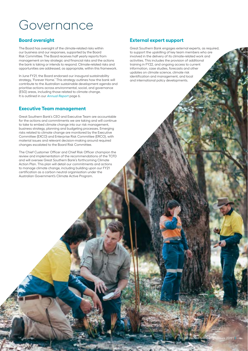### Governance

### **Board oversight**

The Board has oversight of the climate-related risks within our business and our responses, supported by the Board Risk Committee. The Board receives half yearly reports from management on key strategic and financial risks and the actions the bank is taking or intends to respond. Climate-related risks and opportunities are addressed, as appropriate, within this framework.

In June FY21, the Board endorsed our inaugural sustainability strategy, 'Forever Home.' This strategy outlines how the bank will contribute to the Australian sustainable development agenda and prioritise actions across environmental, social, and governance (ESG) areas, including those related to climate change. It is outlined in our *[Annual Report](https://www.greatsouthernbank.com.au/__data/assets/pdf_file/0026/437723/CA1620148_AR_2021_WEB_211007.pdf)* page 6.

### **Executive Team management**

Great Southern Bank's CEO and Executive Team are accountable for the actions and commitments we are taking and will continue to take to embed climate change into our risk management, business strategy, planning and budgeting processes. Emerging risks related to climate change are monitored by the Executive Committee (EXCO) and Enterprise Risk Committee (ERCO), with material issues and relevant decision-making around required changes escalated to the Board Risk Committee.

The Chief Customer Officer and Chief Risk Officer champion the review and implementation of the recommendations of the TCFD and will oversee Great Southern Bank's forthcoming Climate Action Plan. This plan will detail our commitments and actions to manage climate change, including building upon our FY21 certification as a carbon neutral organisation under the Australian Government's Climate Active Program.

### **External expert support**

Great Southern Bank engages external experts, as required, to support the upskilling of key team members who are involved in the delivery of its climate-related work and activities. This includes the provision of additional training in FY22, and ongoing access to current information, case studies, forecasts and other updates on climate science, climate risk identification and management, and local and international policy developments.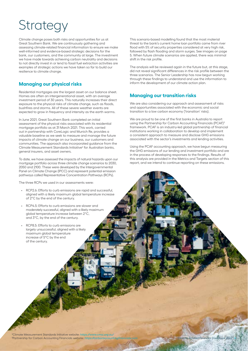## **Strategy**

Climate change poses both risks and opportunities for us at Great Southern Bank. We are continuously gathering and assessing climate-related financial information to ensure we make well-informed and evidence-based strategic decisions for the bank, our customers, and the community at large. The investment we have made towards achieving carbon neutrality and decisions to not directly invest in or lend to fossil fuel extraction activities are examples of strategic actions we have taken so far to build our resilience to climate change.

### **Managing our physical risks**

Residential mortgages are the largest asset on our balance sheet. Homes are often an intergenerational asset, with an average investment period of 30 years. This naturally increases their direct exposure to the physical risks of climate change, such as floods, bushfires and storms. All of these severe weather events are expected to grow in frequency and intensity as the earth warms.

In June 2021, Great Southern Bank completed an initial assessment of the physical risks associated with its residential mortgage portfolio as at 31 March 2021. This work, carried out in partnership with CoreLogic and Munich Re, provides a valuable baseline as we seek to measure and manage the future impacts of climate change on our business, our customers and communities. The approach also incorporated guidance from the Climate Measurement Standards Initiative<sup>2</sup> for Australian banks, general insurers, and asset owners.

To date, we have assessed the impacts of natural hazards upon our mortgage portfolio across three climate change scenarios to 2030, 2050 and 2100. These were developed by the Intergovernmental Panel on Climate Change (IPCC) and represent potential emission pathways called Representative Concentration Pathways (RCPs).

The three RCPs we used in our assessments were:

- RCP2.6: Efforts to curb emissions are rapid and successful, aligned with a likely maximum global temperature increase of 2°C by the end of the century.
- RCP4.5: Efforts to curb emissions are slower and moderately successful, aligned with a likely maximum global temperature increase between 2°C, and 3°C, by the end of the century.
- RCP8.5: Efforts to curb emissions are largely unsuccessful, aligned with a likely maximum global temperature increase of 5°C by the end of the century.

This scenario-based modelling found that the most material threat to the bank's current home loan portfolio came from river flood with 5% of security properties considered at very high risk, followed by flash flooding and storm surges. See images on page 5. When future climate scenarios are applied, there was minimal shift in the risk profile.

The analysis will be reviewed again in the future but, at this stage, did not reveal significant differences in the risk profile between the three scenarios. The Senior Leadership has now begun working through these findings to understand and use the information to inform the development of our climate action plan.

### **Managing our transition risks**

We are also considering our approach and assessment of risks and opportunities associated with the economic and social transition to a low carbon economy ('transition' risks).

We are proud to be one of the first banks in Australia to report using the Partnership for Carbon Accounting Financials (PCAF)3 framework. PCAF is an industry-led global partnership of financial institutions working in collaboration to develop and implement a consistent approach to measure and disclose GHG emissions associated with the sector's investments and lending activities.

Using the PCAF accounting approach, we have begun measuring the GHG emissions of our lending and investment portfolio and are in the process of developing responses to the findings. Results of this analysis are provided in the Metrics and Targets section of this report, and we intend to continue reporting on these emissions.

2 Climate Measurement Standards Initiative website: *<https://www.cmsi.org.au/>* 3 Partnership for Carbon Accounting Financials website: *<https://carbonaccountingfinancials.com>*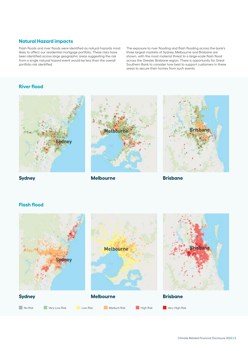### **Natural Hazard impacts**

Flash floods and river floods were identified as natural hazards most likely to affect our residential mortgage portfolio. These risks have been identified across large geographic areas suggesting the risk from a single natural hazard event would be less than the overall portfolio risk identified.

The exposure to river flooding and flash flooding across the bank's three largest markets of Sydney, Melbourne and Brisbane are shown, with the most material threat to a large-scale flash flood across the Greater Brisbane region. There is opportunity for Great Southern Bank to consider how best to support customers in these areas to secure their homes from such events.

### **River flood**



Melbourne Brisbane



**Sydney**

**Melbourne**

**Brisbane**

### **Flash flood**

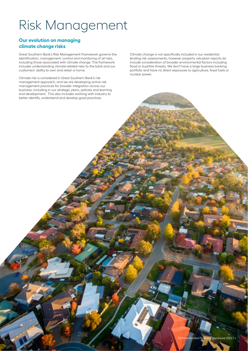### Risk Management

### **Our evolution on managing climate change risks**

Great Southern Bank's Risk Management Framework governs the identification, management, control and monitoring of all risks, including those associated with climate change. The framework includes understanding climate-related risks to the bank and our customers' ability to own and retain a home.

Climate risk is considered in Great Southern Bank's risk management approach, and we are developing active risk management practices for broader integration across our business, including in our strategic plans, policies and learning and development. This also includes working with industry to better identify, understand and develop good practices.

Climate change is not specifically included in our residential lending risk assessments; however property valuation reports do include consideration of broader environmental factors including flood or bushfire threats. We don't have a large business banking portfolio and have no direct exposures to agriculture, fossil fuels or nuclear power.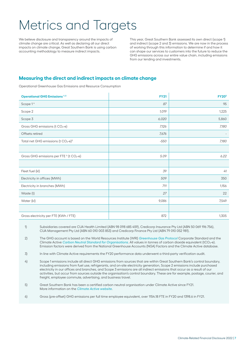### Metrics and Targets

We believe disclosure and transparency around the impacts of climate change are critical. As well as declaring all our direct impacts on climate change, Great Southern Bank is using carbon accounting methodology to measure indirect impacts.

This year, Great Southern Bank assessed its own direct (scope 1) and indirect (scope 2 and 3) emissions. We are now in the process of working through this information to determine if and how it can shape our services to customers into the future to reduce the GHG emissions across our entire value chain, including emissions from our lending and investments.

### **Measuring the direct and indirect impacts on climate change**

Operational Greenhouse Gas Emissions and Resource Consumption

| <b>Operational GHG Emissions 1:2</b>                            | <b>FY21</b> | <b>FY203</b> |
|-----------------------------------------------------------------|-------------|--------------|
| Scope 1 <sup>4</sup>                                            | 87          | 95           |
| Scope 2                                                         | 1,019       | 1,225        |
| Scope 3                                                         | 6,020       | 5,860        |
| Gross GHG emissions (t CO <sub>2</sub> -e)                      | 7,126       | 7,180        |
| Offsets retired                                                 | 7,676       |              |
| Total net GHG emissions (t $CO2-e$ ) <sup>5</sup>               | $-550$      | 7,180        |
|                                                                 |             |              |
| Gross GHG emissions per FTE <sup>6</sup> (t CO <sub>2</sub> -e) | 5.09        | 6.22         |
|                                                                 |             |              |
| Fleet fuel (kl)                                                 | 39          | 41           |
| Electricity in offices (MWh)                                    | 509         | 350          |
| Electricity in branches (MWh)                                   | 711         | 1,156        |
| Waste (t)                                                       | 27          | 22           |
| Water (kl)                                                      | 9,086       | 7,549        |
|                                                                 |             |              |
| Gross electricity per FTE (KWh / FTE)                           | 872         | 1,305        |

1) Subsidiaries covered are CUA Health Limited (ABN 98 098 685 459), Credicorp Insurance Pty Ltd (ABN 50 069 196 756), CUA Management Pty Ltd (ABN 60 010 003 853) and Credicorp Finance Pty Ltd (ABN 79 010 052 981).

2) The GHG account is based on the World Resources Institute (WRI) *[Greenhouse Gas Protocol](https://www.wri.org/initiatives/greenhouse-gas-protocol)* Corporate Standard and the Climate Active *[Carbon Neutral Standard for Organisations](https://www.industry.gov.au/data-and-publications/climate-active-carbon-neutral-standard-for-organisations)*. All values in tonnes of carbon dioxide equivalent (tCO<sub>2</sub>-e). Emission factors were derived from the National Greenhouse Accounts (NGA) Factors and the Climate Active database.

3) In line with Climate Active requirements the FY20 performance data underwent a third-party verification audit.

4) Scope 1 emissions include all direct GHG emissions from sources that are within Great Southern Bank's control boundary, including emissions from fuel use, refrigerants, and on-site electricity generation, Scope 2 emissions include purchased electricity in our offices and branches, and Scope 3 emissions are all indirect emissions that occur as a result of our activities, but occur from sources outside the organisation's control boundary. These are for example, postage, courier, and freight, employee commute, advertising, and business travel.

5) Great Southern Bank has been a certified carbon neutral organisation under Climate Active since FY21. More information on the *[Climate Active website](https://www.climateactive.org.au/buy-climate-active/certified-members/great-southern-bank)*.

6) Gross (pre-offset) GHG emissions per full time employee equivalent, over 1154.18 FTE in FY20 and 1398.6 in FY21.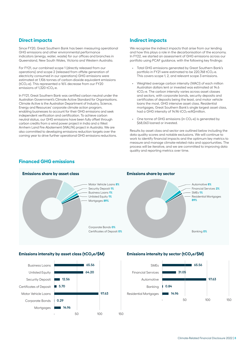### **Direct impacts**

Since FY20, Great Southern Bank has been measuring operational GHG emissions and other environmental performance indicators (energy, water, waste) for our offices and branches in Queensland, New South Wales, Victoria and Western Australia.

For FY21, our combined scope 1 (directly released from our operations) and scope 2 (released from offsite generation of electricity consumed in our operations) GHG emissions were estimated at 1,106 tonnes of carbon-dioxide equivalent emissions (tCO2-e). This represented a 16% decrease from our FY20 emissions of  $1,320$  tCO<sub>2</sub>-e.

In FY21, Great Southern Bank was certified carbon neutral under the Australian Government's Climate Active Standard for Organisations. Climate Active is the Australian Department of Industry, Science, Energy and Resources' corporate climate action program, enabling businesses to account for their GHG emissions and seek independent verification and certification. To achieve carbon neutral status, our GHG emissions have been fully offset through carbon credits from a wind power project in India and a West Arnhem Land Fire Abatement (WALFA) project in Australia. We are also committed to developing emissions reduction targets over the coming year to drive further operational GHG emissions reductions.

### **Indirect impacts**

We recognise the indirect impacts that arise from our lending and how this plays a role in the decarbonisation of the economy. In FY22, we started an assessment of GHG emissions across our portfolio using PCAF guidance, with the following key findings:

- Total GHG emissions generated by Great Southern Bank's portfolio in FY21 were estimated to be 220.768 tCO<sub>2</sub>-e. This covers scope 1, 2, and relevant scope 3 emissions.
- Weighted average carbon intensity (WACI) of each million Australian dollars lent or invested was estimated at 14.6 tCO<sub>2</sub>-e. The carbon intensity varies across asset classes and sectors, with corporate bonds, security deposits and certificates of deposits being the least, and motor vehicle loans the most, GHG intensive asset class. Residential mortgages, Great Southern Bank's single largest asset class, had a GHG intensity of 14.96 tCO<sub>2</sub>-e/A\$million.
- One tonne of GHG emissions (in  $CO<sub>2</sub>-e$ ) is generated by \$68,063 loaned or invested.

Results by asset class and sector are outlined below including the data quality scores and notable exclusions. We will continue to work to identify financial impacts and the optimum key metrics to measure and manage climate-related risks and opportunities. The process will be iterative, and we are committed to improving data quality and reporting metrics over time.

### **Financed GHG emissions**



#### **Emissions share by asset class Emissions share by sector**



#### **Emissions intensity by asset class (tCO2e/\$M) Emissions intensity by sector (tCO2e/\$M)**





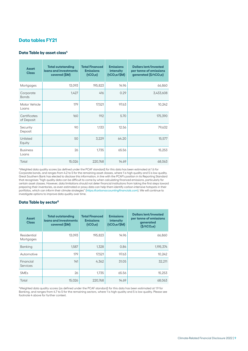### **Data tables FY21**

#### **Data Table by asset class4**

| <b>Asset</b><br><b>Class</b> | <b>Total outstanding</b><br>loans and investments<br>covered (\$M) | <b>Total Financed</b><br><b>Emissions</b><br>(tCO <sub>2</sub> e) | <b>Emissions</b><br><b>intensity</b><br>$(tCO2e/\$M)$ | <b>Dollars lent/invested</b><br>per tonne of emissions<br>generated (\$/tCO <sub>2</sub> e) |
|------------------------------|--------------------------------------------------------------------|-------------------------------------------------------------------|-------------------------------------------------------|---------------------------------------------------------------------------------------------|
| Mortgages                    | 13,093                                                             | 195,823                                                           | 14.96                                                 | 66,860                                                                                      |
| Corporate<br><b>Bonds</b>    | 1,427                                                              | 416                                                               | 0.29                                                  | 3,433,608                                                                                   |
| Motor Vehicle<br>Loans       | 179                                                                | 17,521                                                            | 97.63                                                 | 10,242                                                                                      |
| Certificates<br>of Deposit   | 160                                                                | 912                                                               | 5.70                                                  | 175,390                                                                                     |
| Security<br>Deposit          | 90                                                                 | 1,133                                                             | 12.56                                                 | 79,632                                                                                      |
| Unlisted<br>Equity           | 50                                                                 | 3,229                                                             | 64.20                                                 | 15,577                                                                                      |
| <b>Business</b><br>Loans     | 26                                                                 | 1,735                                                             | 65.56                                                 | 15,253                                                                                      |
| Total                        | 15,026                                                             | 220,768                                                           | 14.69                                                 | 68.063                                                                                      |

4 Weighted data quality scores (as defined under the PCAF standard) for this data has been estimated at 1.6 for Corporate bonds, and ranges from 4.2 to 5 for the remaining asset classes, where 1 is high quality and 5 is low quality. Great Southern Bank has elected to disclose this information, in line with the PCAF's position in its Reporting Standard that recognises "high quality data can be difficult to come by when calculating financed emissions, particularly for certain asset classes. However, data limitations should not deter financial institutions from taking the first steps toward preparing their inventories, as even estimated or proxy data can help them identify carbon-intensive hotspots in their portfolios, which can inform their climate strategies" (*<https://carbonaccountingfinancials.com>*). We will continue to investigate options to improve data quality over time.

#### **Data Table by sector5**

| <b>Asset</b><br><b>Class</b> | <b>Total outstanding</b><br>loans and investments<br>covered (\$M) | <b>Total Financed</b><br><b>Emissions</b><br>(tCO <sub>2</sub> e) | <b>Emissions</b><br><b>intensity</b><br>(tCO <sub>2</sub> e/SM) | <b>Dollars lent/invested</b><br>per tonne of emissions<br>generated<br>$(\mathsf{S}/\mathsf{tCO}_{2}\mathsf{e})$ |
|------------------------------|--------------------------------------------------------------------|-------------------------------------------------------------------|-----------------------------------------------------------------|------------------------------------------------------------------------------------------------------------------|
| Residential<br>Mortgages     | 13.093                                                             | 195,823                                                           | 14.96                                                           | 66.860                                                                                                           |
| <b>Banking</b>               | 1.587                                                              | 1,328                                                             | 0.84                                                            | 1,195,374                                                                                                        |
| Automotive                   | 179                                                                | 17.521                                                            | 97.63                                                           | 10,242                                                                                                           |
| Financial<br>Services        | 141                                                                | 4,362                                                             | 31.05                                                           | 32.211                                                                                                           |
| <b>SME<sub>s</sub></b>       | 26                                                                 | 1.735                                                             | 65.56                                                           | 15,253                                                                                                           |
| Total                        | 15,026                                                             | 220.768                                                           | 14.69                                                           | 68.063                                                                                                           |

5 Weighted data quality scores (as defined under the PCAF standard) for this data has been estimated at 1.9 for Banking, and ranges from 4.7 to 5 for the remaining sectors, where 1 is high quality and 5 is low quality. Please see footnote 4 above for further context.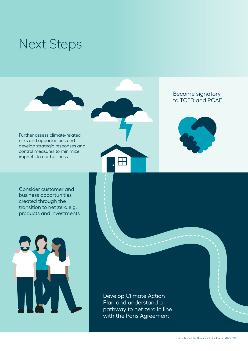### Next Steps



Further assess climate-related risks and opportunities and develop strategic responses and control measures to minimize impacts to our business



### Become signatory to TCFD and PCAF



Consider customer and business opportunities created through the transition to net zero e.g. products and investments



Develop Climate Action Plan and understand a pathway to net zero in line with the Paris Agreement